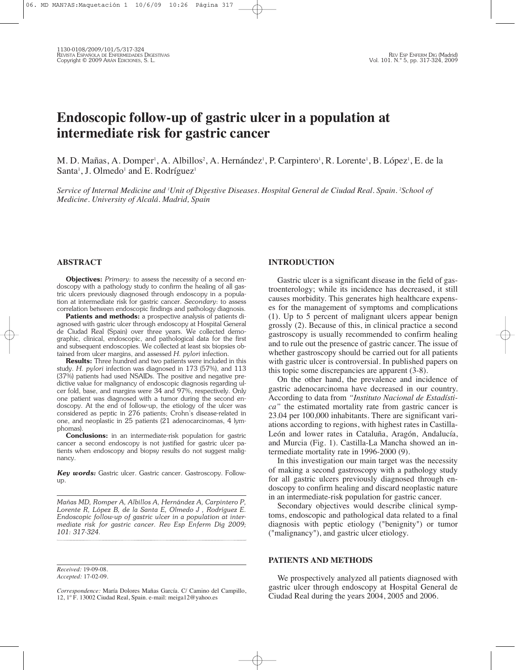# **Endoscopic follow-up of gastric ulcer in a population at intermediate risk for gastric cancer**

M. D. Mañas, A. Domper', A. Albillos<sup>2</sup>, A. Hernández', P. Carpintero', R. Lorente', B. López', E. de la Santa<sup>1</sup>, J. Olmedo<sup>1</sup> and E. Rodríguez<sup>1</sup>

Service of Internal Medicine and 'Unit of Digestive Diseases. Hospital General de Ciudad Real. Spain. 'School of *Medicine. University of Alcalá. Madrid, Spain*

### **ABSTRACT**

**Objectives:** *Primary:* to assess the necessity of a second endoscopy with a pathology study to confirm the healing of all gastric ulcers previously diagnosed through endoscopy in a population at intermediate risk for gastric cancer. *Secondary*: to assess correlation between endoscopic findings and pathology diagnosis.

**Patients and methods:** a prospective analysis of patients diagnosed with gastric ulcer through endoscopy at Hospital General de Ciudad Real (Spain) over three years. We collected demographic, clinical, endoscopic, and pathological data for the first and subsequent endoscopies. We collected at least six biopsies obtained from ulcer margins, and assessed *H. pylori* infection.

**Results:** Three hundred and two patients were included in this study. *H. pylori* infection was diagnosed in 173 (57%), and 113 (37%) patients had used NSAIDs. The positive and negative predictive value for malignancy of endoscopic diagnosis regarding ulcer fold, base, and margins were 34 and 97%, respectively. Only one patient was diagnosed with a tumor during the second endoscopy. At the end of follow-up, the etiology of the ulcer was considered as peptic in 276 patients; Crohn's disease-related in one, and neoplastic in 25 patients (21 adenocarcinomas, 4 lymphomas).

**Conclusions:** in an intermediate-risk population for gastric cancer a second endoscopy is not justified for gastric ulcer patients when endoscopy and biopsy results do not suggest malignancy.

*Key words:* Gastric ulcer. Gastric cancer. Gastroscopy. Followup.

*Mañas MD, Romper A, Albillos A, Hernández A, Carpintero P, Lorente R, López B, de la Santa E, Olmedo J , Rodríguez E. Endoscopic follow-up of gastric ulcer in a population at intermediate risk for gastric cancer. Rev Esp Enferm Dig 2009; 101: 317-324.*

*Received:* 19-09-08. *Accepted:* 17-02-09.

*Correspondence:* María Dolores Mañas García. C/ Camino del Campillo, 12, 1º F. 13002 Ciudad Real, Spain. e-mail: meiga12@yahoo.es

### **INTRODUCTION**

Gastric ulcer is a significant disease in the field of gastroenterology; while its incidence has decreased, it still causes morbidity. This generates high healthcare expenses for the management of symptoms and complications (1). Up to 5 percent of malignant ulcers appear benign grossly (2). Because of this, in clinical practice a second gastroscopy is usually recommended to confirm healing and to rule out the presence of gastric cancer. The issue of whether gastroscopy should be carried out for all patients with gastric ulcer is controversial. In published papers on this topic some discrepancies are apparent (3-8).

On the other hand, the prevalence and incidence of gastric adenocarcinoma have decreased in our country. According to data from *"Instituto Nacional de Estadística"* the estimated mortality rate from gastric cancer is 23.04 per 100,000 inhabitants. There are significant variations according to regions, with highest rates in Castilla-León and lower rates in Cataluña, Aragón, Andalucía, and Murcia (Fig. 1). Castilla-La Mancha showed an intermediate mortality rate in 1996-2000 (9).

In this investigation our main target was the necessity of making a second gastroscopy with a pathology study for all gastric ulcers previously diagnosed through endoscopy to confirm healing and discard neoplastic nature in an intermediate-risk population for gastric cancer.

Secondary objectives would describe clinical symptoms, endoscopic and pathological data related to a final diagnosis with peptic etiology ("benignity") or tumor ("malignancy"), and gastric ulcer etiology.

### **PATIENTS AND METHODS**

We prospectively analyzed all patients diagnosed with gastric ulcer through endoscopy at Hospital General de Ciudad Real during the years 2004, 2005 and 2006.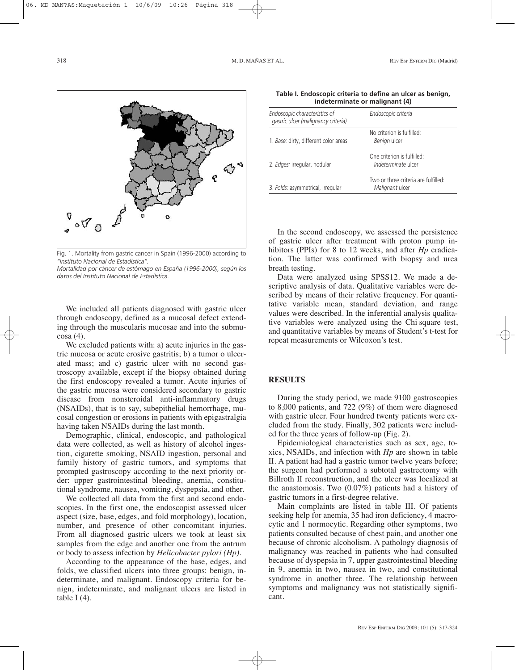

Fig. 1. Mortality from gastric cancer in Spain (1996-2000) according to *"Instituto Nacional de Estadística".*

*Mortalidad por cáncer de estómago en España (1996-2000), según los datos del Instituto Nacional de Estadística.*

We included all patients diagnosed with gastric ulcer through endoscopy, defined as a mucosal defect extending through the muscularis mucosae and into the submucosa (4).

We excluded patients with: a) acute injuries in the gastric mucosa or acute erosive gastritis; b) a tumor o ulcerated mass; and c) gastric ulcer with no second gastroscopy available, except if the biopsy obtained during the first endoscopy revealed a tumor. Acute injuries of the gastric mucosa were considered secondary to gastric disease from nonsteroidal anti-inflammatory drugs (NSAIDs), that is to say, subepithelial hemorrhage, mucosal congestion or erosions in patients with epigastralgia having taken NSAIDs during the last month.

Demographic, clinical, endoscopic, and pathological data were collected, as well as history of alcohol ingestion, cigarette smoking, NSAID ingestion, personal and family history of gastric tumors, and symptoms that prompted gastroscopy according to the next priority order: upper gastrointestinal bleeding, anemia, constitutional syndrome, nausea, vomiting, dyspepsia, and other.

We collected all data from the first and second endoscopies. In the first one, the endoscopist assessed ulcer aspect (size, base, edges, and fold morphology), location, number, and presence of other concomitant injuries. From all diagnosed gastric ulcers we took at least six samples from the edge and another one from the antrum or body to assess infection by *Helicobacter pylori (Hp).*

According to the appearance of the base, edges, and folds, we classified ulcers into three groups: benign, indeterminate, and malignant. Endoscopy criteria for benign, indeterminate, and malignant ulcers are listed in table I $(4)$ .

| Table I. Endoscopic criteria to define an ulcer as benign, |  |
|------------------------------------------------------------|--|
| indeterminate or malignant (4)                             |  |

| Endoscopic characteristics of<br>gastric ulcer (malignancy criteria) | Endoscopic criteria                                     |
|----------------------------------------------------------------------|---------------------------------------------------------|
| 1. Base: dirty, different color areas                                | No criterion is fulfilled:<br>Benign ulcer              |
| 2. Edges: irregular, nodular                                         | One criterion is fulfilled:<br>Indeterminate ulcer      |
| 3. Folds: asymmetrical, irregular                                    | Two or three criteria are fulfilled:<br>Malignant ulcer |

In the second endoscopy, we assessed the persistence of gastric ulcer after treatment with proton pump inhibitors (PPIs) for 8 to 12 weeks, and after *Hp* eradication. The latter was confirmed with biopsy and urea breath testing.

Data were analyzed using SPSS12. We made a descriptive analysis of data. Qualitative variables were described by means of their relative frequency. For quantitative variable mean, standard deviation, and range values were described. In the inferential analysis qualitative variables were analyzed using the Chi square test, and quantitative variables by means of Student's t-test for repeat measurements or Wilcoxon's test.

### **RESULTS**

During the study period, we made 9100 gastroscopies to 8,000 patients, and 722 (9%) of them were diagnosed with gastric ulcer. Four hundred twenty patients were excluded from the study. Finally, 302 patients were included for the three years of follow-up (Fig. 2).

Epidemiological characteristics such as sex, age, toxics, NSAIDs, and infection with *Hp* are shown in table II. A patient had had a gastric tumor twelve years before; the surgeon had performed a subtotal gastrectomy with Billroth II reconstruction, and the ulcer was localized at the anastomosis. Two (0.07%) patients had a history of gastric tumors in a first-degree relative.

Main complaints are listed in table III. Of patients seeking help for anemia, 35 had iron deficiency, 4 macrocytic and 1 normocytic. Regarding other symptoms, two patients consulted because of chest pain, and another one because of chronic alcoholism. A pathology diagnosis of malignancy was reached in patients who had consulted because of dyspepsia in 7, upper gastrointestinal bleeding in 9, anemia in two, nausea in two, and constitutional syndrome in another three. The relationship between symptoms and malignancy was not statistically significant.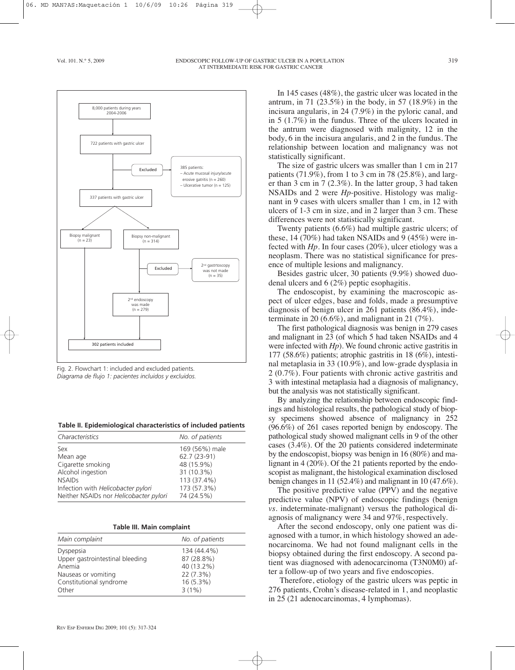

Fig. 2. Flowchart 1: included and excluded patients. *Diagrama de flujo 1: pacientes incluidos y excluidos.*

| Table II. Epidemiological characteristics of included patients |
|----------------------------------------------------------------|
|----------------------------------------------------------------|

| Characteristics                        | No. of patients |
|----------------------------------------|-----------------|
| Sex                                    | 169 (56%) male  |
| Mean age                               | 62.7 (23-91)    |
| Cigarette smoking                      | 48 (15.9%)      |
| Alcohol ingestion                      | 31 (10.3%)      |
| <b>NSAIDs</b>                          | 113 (37.4%)     |
| Infection with Helicobacter pylori     | 173 (57.3%)     |
| Neither NSAIDs nor Helicobacter pylori | 74 (24.5%)      |

| <b>Table III. Main complaint</b> |  |  |  |
|----------------------------------|--|--|--|
|----------------------------------|--|--|--|

| Main complaint                                                                                                    | No. of patients                                                                 |
|-------------------------------------------------------------------------------------------------------------------|---------------------------------------------------------------------------------|
| Dyspepsia<br>Upper gastrointestinal bleeding<br>Anemia<br>Nauseas or vomiting<br>Constitutional syndrome<br>Other | 134 (44.4%)<br>87 (28.8%)<br>40 (13.2%)<br>22 (7.3%)<br>$16(5.3\%)$<br>$3(1\%)$ |
|                                                                                                                   |                                                                                 |

In 145 cases (48%), the gastric ulcer was located in the antrum, in 71 (23.5%) in the body, in 57 (18.9%) in the incisura angularis, in 24 (7.9%) in the pyloric canal, and in 5 (1.7%) in the fundus. Three of the ulcers located in the antrum were diagnosed with malignity, 12 in the body, 6 in the incisura angularis, and 2 in the fundus. The relationship between location and malignancy was not statistically significant.

The size of gastric ulcers was smaller than 1 cm in 217 patients (71.9%), from 1 to 3 cm in 78 (25.8%), and larger than 3 cm in 7 (2.3%). In the latter group, 3 had taken NSAIDs and 2 were *Hp*-positive. Histology was malignant in 9 cases with ulcers smaller than 1 cm, in 12 with ulcers of 1-3 cm in size, and in 2 larger than 3 cm. These differences were not statistically significant.

Twenty patients (6.6%) had multiple gastric ulcers; of these, 14 (70%) had taken NSAIDs and 9 (45%) were infected with *Hp.* In four cases (20%), ulcer etiology was a neoplasm. There was no statistical significance for presence of multiple lesions and malignancy.

Besides gastric ulcer, 30 patients (9.9%) showed duodenal ulcers and 6 (2%) peptic esophagitis.

The endoscopist, by examining the macroscopic aspect of ulcer edges, base and folds, made a presumptive diagnosis of benign ulcer in 261 patients (86.4%), indeterminate in 20  $(6.6\%)$ , and malignant in 21  $(7\%)$ .

The first pathological diagnosis was benign in 279 cases and malignant in 23 (of which 5 had taken NSAIDs and 4 were infected with *Hp*). We found chronic active gastritis in 177 (58.6%) patients; atrophic gastritis in 18 (6%), intestinal metaplasia in 33 (10.9%), and low-grade dysplasia in 2 (0.7%). Four patients with chronic active gastritis and 3 with intestinal metaplasia had a diagnosis of malignancy, but the analysis was not statistically significant.

By analyzing the relationship between endoscopic findings and histological results, the pathological study of biopsy specimens showed absence of malignancy in 252 (96.6%) of 261 cases reported benign by endoscopy. The pathological study showed malignant cells in 9 of the other cases (3.4%). Of the 20 patients considered indeterminate by the endoscopist, biopsy was benign in 16 (80%) and malignant in 4 (20%). Of the 21 patients reported by the endoscopist as malignant, the histological examination disclosed benign changes in 11 (52.4%) and malignant in 10 (47.6%).

The positive predictive value (PPV) and the negative predictive value (NPV) of endoscopic findings (benign *vs.* indeterminate-malignant) versus the pathological diagnosis of malignancy were 34 and 97%, respectively.

After the second endoscopy, only one patient was diagnosed with a tumor, in which histology showed an adenocarcinoma. We had not found malignant cells in the biopsy obtained during the first endoscopy. A second patient was diagnosed with adenocarcinoma (T3N0M0) after a follow-up of two years and five endoscopies.

Therefore, etiology of the gastric ulcers was peptic in 276 patients, Crohn's disease-related in 1, and neoplastic in 25 (21 adenocarcinomas, 4 lymphomas).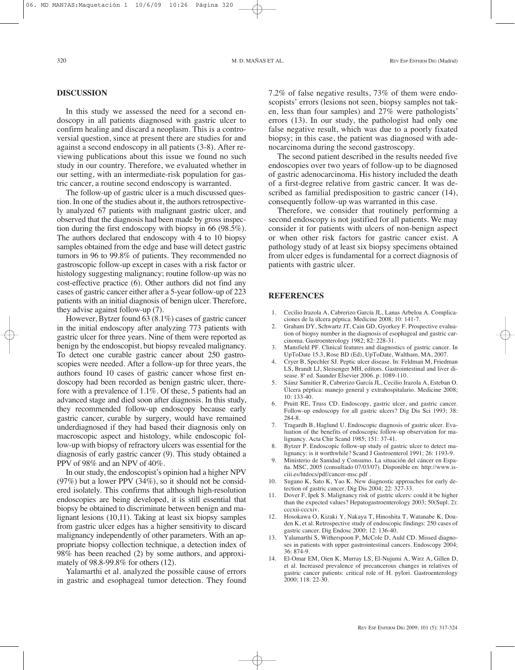#### **DISCUSSION**

In this study we assessed the need for a second endoscopy in all patients diagnosed with gastric ulcer to confirm healing and discard a neoplasm. This is a controversial question, since at present there are studies for and against a second endoscopy in all patients (3-8). After reviewing publications about this issue we found no such study in our country. Therefore, we evaluated whether in our setting, with an intermediate-risk population for gastric cancer, a routine second endoscopy is warranted.

The follow-up of gastric ulcer is a much discussed question. In one of the studies about it, the authors retrospectively analyzed 67 patients with malignant gastric ulcer, and observed that the diagnosis had been made by gross inspection during the first endoscopy with biopsy in 66 (98.5%). The authors declared that endoscopy with 4 to 10 biopsy samples obtained from the edge and base will detect gastric tumors in 96 to 99.8% of patients. They recommended no gastroscopic follow-up except in cases with a risk factor or histology suggesting malignancy; routine follow-up was no cost-effective practice (6). Other authors did not find any cases of gastric cancer either after a 5-year follow-up of 223 patients with an initial diagnosis of benign ulcer. Therefore, they advise against follow-up (7).

However, Bytzer found 63 (8.1%) cases of gastric cancer in the initial endoscopy after analyzing 773 patients with gastric ulcer for three years. Nine of them were reported as benign by the endoscopist, but biopsy revealed malignancy. To detect one curable gastric cancer about 250 gastroscopies were needed. After a follow-up for three years, the authors found 10 cases of gastric cancer whose first endoscopy had been recorded as benign gastric ulcer, therefore with a prevalence of 1.1%. Of these, 5 patients had an advanced stage and died soon after diagnosis. In this study, they recommended follow-up endoscopy because early gastric cancer, curable by surgery, would have remained underdiagnosed if they had based their diagnosis only on macroscopic aspect and histology, while endoscopic follow-up with biopsy of refractory ulcers was essential for the diagnosis of early gastric cancer (9). This study obtained a PPV of 98% and an NPV of 40%.

In our study, the endoscopist's opinion had a higher NPV (97%) but a lower PPV (34%), so it should not be considered isolately. This confirms that although high-resolution endoscopies are being developed, it is still essential that biopsy be obtained to discriminate between benign and malignant lesions (10,11). Taking at least six biopsy samples from gastric ulcer edges has a higher sensitivity to discard malignancy independently of other parameters. With an appropriate biopsy collection technique, a detection index of 98% has been reached (2) by some authors, and approximately of 98.8-99.8% for others (12).

Yalamarthi et al. analyzed the possible cause of errors in gastric and esophageal tumor detection. They found

7.2% of false negative results, 73% of them were endoscopists' errors (lesions not seen, biopsy samples not taken, less than four samples) and 27% were pathologists' errors (13). In our study, the pathologist had only one false negative result, which was due to a poorly fixated biopsy; in this case, the patient was diagnosed with adenocarcinoma during the second gastroscopy.

The second patient described in the results needed five endoscopies over two years of follow-up to be diagnosed of gastric adenocarcinoma. His history included the death of a first-degree relative from gastric cancer. It was described as familial predisposition to gastric cancer (14), consequently follow-up was warranted in this case.

Therefore, we consider that routinely performing a second endoscopy is not justified for all patients. We may consider it for patients with ulcers of non-benign aspect or when other risk factors for gastric cancer exist. A pathology study of at least six biopsy specimens obtained from ulcer edges is fundamental for a correct diagnosis of patients with gastric ulcer.

#### **REFERENCES**

- 1. Cecilio Irazola A, Cabrerizo García JL, Lanas Arbeloa A. Complicaciones de la úlcera péptica. Medicine 2008; 10: 141-7.
- 2. Graham DY, Schwartz JT, Cain GD, Gyorkey F. Prospective evaluation of biopsy number in the diagnosis of esophageal and gastric carcinoma. Gastroenterology 1982; 82: 228-31.
- 3. Mansfield PF. Clinical features and diagnostics of gastric cancer. In UpToDate 15.3, Rose BD (Ed), UpToDate, Waltham, MA, 2007.
- 4. Cryer B, Spechler SJ. Peptic ulcer disease. In: Feldman M, Friedman LS, Brandt LJ, Sleisenger MH, editors. Gastrointestinal and liver disease. 8ª ed. Saunder Elsevier 2006. p. 1089-110.
- 5. Sáinz Samitier R, Cabrerizo García JL, Cecilio Irazola A, Esteban O. Úlcera péptica: manejo general y extrahospitalario. Medicine 2008; 10: 133-40.
- 6. Pruitt RE, Truss CD. Endoscopy, gastric ulcer, and gastric cancer. Follow-up endoscopy for all gastric ulcers? Dig Dis Sci 1993; 38: 284-8.
- 7. Tragardh B, Haglund U. Endoscopic diagnosis of gastric ulcer. Evaluation of the benefits of endoscopic follow-up observation for malignancy. Acta Chir Scand 1985; 151: 37-41.
- 8. Bytzer P. Endoscopic follow-up study of gastric ulcer to detect malignancy: is it worthwhile? Scand J Gastroenterol 1991; 26: 1193-9.
- 9. Ministerio de Sanidad y Consumo. La situación del cáncer en España. MSC, 2005 (consultado 07/03/07). Disponible en: http://www.isciii.es/htdocs/pdf/cancer-msc.pdf .
- 10. Sugano K, Sato K, Yao K. New diagnostic approaches for early detection of gastric cancer. Dig Dis 2004; 22: 327-33.
- Dover F, Ipek S. Malignancy risk of gastric ulcers: could it be higher than the expected values? Hepatogastroenterology 2003; 50(Supl. 2): cccxii-cccxiv.
- 12. Hosokawa O, Kizaki Y, Nakaya T, Hinoshita T, Watanabe K, Douden K, et al. Retrospective study of endoscopic findings: 250 cases of gastric cancer. Dig Endosc 2000; 12: 136-40.
- 13. Yalamarthi S, Witherspoon P, McCole D, Auld CD. Missed diagnoses in patients with upper gastrointestinal cancers. Endoscopy 2004; 36: 874-9.
- 14. El-Omar EM, Oien K, Murray LS, El-Nujumi A, Wirz A, Gillen D, et al. Increased prevalence of precancerous changes in relatives of gastric cancer patients: critical role of H. pylori. Gastroenterology 2000; 118: 22-30.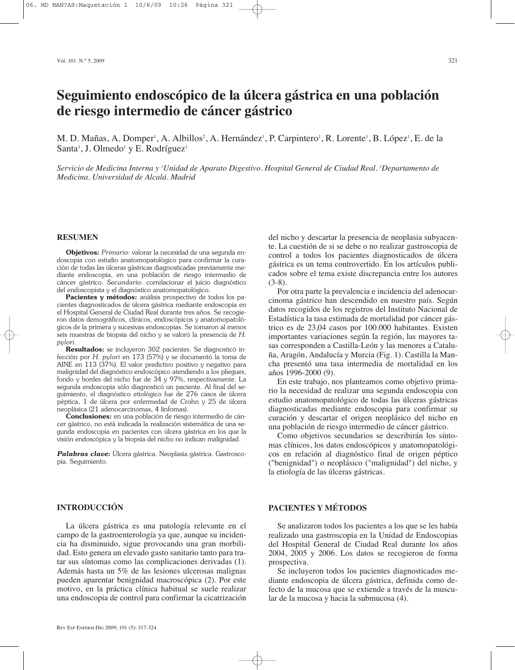# **Seguimiento endoscópico de la úlcera gástrica en una población de riesgo intermedio de cáncer gástrico**

M. D. Mañas, A. Domper', A. Albillos<sup>2</sup>, A. Hernández', P. Carpintero', R. Lorente', B. López', E. de la Santa<sup>1</sup>, J. Olmedo<sup>1</sup> y E. Rodríguez<sup>1</sup>

Servicio de Medicina Interna y 'Unidad de Aparato Digestivo. Hospital General de Ciudad Real. <sup>2</sup>Departamento de *Medicina. Universidad de Alcalá. Madrid*

### **RESUMEN**

**Objetivos:** *Primario:* valorar la necesidad de una segunda endoscopia con estudio anatomopatológico para confirmar la curación de todas las úlceras gástricas diagnosticadas previamente mediante endoscopia, en una población de riesgo intermedio de cáncer gástrico. *Secundario*: correlacionar el juicio diagnóstico del endoscopista y el diagnóstico anatomopatológico.

**Pacientes y métodos:** análisis prospectivo de todos los pacientes diagnosticados de úlcera gástrica mediante endoscopia en el Hospital General de Ciudad Real durante tres años. Se recogieron datos demográficos, clínicos, endoscópicos y anatomopatológicos de la primera y sucesivas endoscopias. Se tomaron al menos seis muestras de biopsia del nicho y se valoró la presencia de *H. pylori.*

**Resultados:** se incluyeron 302 pacientes. Se diagnosticó infección por *H. pylori* en 173 (57%) y se documentó la toma de AINE en 113 (37%). El valor predictivo positivo y negativo para malignidad del diagnóstico endoscópico atendiendo a los pliegues, fondo y bordes del nicho fue de 34 y 97%, respectivamente. La segunda endoscopia sólo diagnosticó un paciente. Al final del seguimiento, el diagnóstico etiológico fue de 276 casos de úlcera péptica, 1 de úlcera por enfermedad de Crohn y 25 de úlcera neoplásica (21 adenocarcinomas, 4 linfomas).

**Conclusiones:** en una población de riesgo intermedio de cáncer gástrico, no está indicada la realización sistemática de una segunda endoscopia en pacientes con úlcera gástrica en los que la visión endoscópica y la biopsia del nicho no indican malignidad.

*Palabras clave:* Úlcera gástrica. Neoplasia gástrica. Gastroscopia. Seguimiento.

del nicho y descartar la presencia de neoplasia subyacente. La cuestión de si se debe o no realizar gastroscopia de control a todos los pacientes diagnosticados de úlcera gástrica es un tema controvertido. En los artículos publicados sobre el tema existe discrepancia entre los autores  $(3-8)$ .

Por otra parte la prevalencia e incidencia del adenocarcinoma gástrico han descendido en nuestro país. Según datos recogidos de los registros del Instituto Nacional de Estadística la tasa estimada de mortalidad por cáncer gástrico es de 23,04 casos por 100.000 habitantes. Existen importantes variaciones según la región, las mayores tasas corresponden a Castilla-León y las menores a Cataluña, Aragón, Andalucía y Murcia (Fig. 1). Castilla la Mancha presentó una tasa intermedia de mortalidad en los años 1996-2000 (9).

En este trabajo, nos planteamos como objetivo primario la necesidad de realizar una segunda endoscopia con estudio anatomopatológico de todas las úlceras gástricas diagnosticadas mediante endoscopia para confirmar su curación y descartar el origen neoplásico del nicho en una población de riesgo intermedio de cáncer gástrico.

Como objetivos secundarios se describirán los síntomas clínicos, los datos endoscópicos y anatomopatológicos en relación al diagnóstico final de origen péptico ("benignidad") o neoplásico ("malignidad") del nicho, y la etiología de las úlceras gástricas.

### **PACIENTES Y MÉTODOS**

Se analizaron todos los pacientes a los que se les había realizado una gastroscopia en la Unidad de Endoscopias del Hospital General de Ciudad Real durante los años 2004, 2005 y 2006. Los datos se recogieron de forma prospectiva.

Se incluyeron todos los pacientes diagnosticados mediante endoscopia de úlcera gástrica, definida como defecto de la mucosa que se extiende a través de la muscular de la mucosa y hacia la submucosa (4).

## **INTRODUCCIÓN**

La úlcera gástrica es una patología relevante en el campo de la gastroenterología ya que, aunque su incidencia ha disminuido, sigue provocando una gran morbilidad. Esto genera un elevado gasto sanitario tanto para tratar sus síntomas como las complicaciones derivadas (1). Además hasta un 5% de las lesiones ulcerosas malignas pueden aparentar benignidad macroscópica (2). Por este motivo, en la práctica clínica habitual se suele realizar una endoscopia de control para confirmar la cicatrización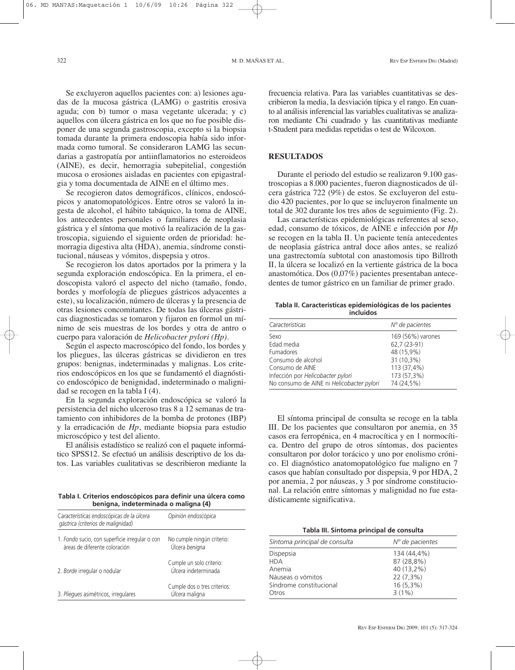Se excluyeron aquellos pacientes con: a) lesiones agudas de la mucosa gástrica (LAMG) o gastritis erosiva aguda; con b) tumor o masa vegetante ulcerada; y c) aquellos con úlcera gástrica en los que no fue posible disponer de una segunda gastroscopia, excepto si la biopsia tomada durante la primera endoscopia había sido informada como tumoral. Se consideraron LAMG las secundarias a gastropatía por antiinflamatorios no esteroideos (AINE), es decir, hemorragia subepitelial, congestión mucosa o erosiones aisladas en pacientes con epigastralgia y toma documentada de AINE en el último mes.

Se recogieron datos demográficos, clínicos, endoscópicos y anatomopatológicos. Entre otros se valoró la ingesta de alcohol, el hábito tabáquico, la toma de AINE, los antecedentes personales o familiares de neoplasia gástrica y el síntoma que motivó la realización de la gastroscopia, siguiendo el siguiente orden de prioridad: hemorragia digestiva alta (HDA), anemia, síndrome constitucional, náuseas y vómitos, dispepsia y otros.

Se recogieron los datos aportados por la primera y la segunda exploración endoscópica. En la primera, el endoscopista valoró el aspecto del nicho (tamaño, fondo, bordes y morfología de pliegues gástricos adyacentes a este), su localización, número de úlceras y la presencia de otras lesiones concomitantes. De todas las úlceras gástricas diagnosticadas se tomaron y fijaron en formol un mínimo de seis muestras de los bordes y otra de antro o cuerpo para valoración de *Helicobacter pylori (Hp).*

Según el aspecto macroscópico del fondo, los bordes y los pliegues, las úlceras gástricas se dividieron en tres grupos: benignas, indeterminadas y malignas. Los criterios endoscópicos en los que se fundamentó el diagnóstico endoscópico de benignidad, indeterminado o malignidad se recogen en la tabla I (4).

En la segunda exploración endoscópica se valoró la persistencia del nicho ulceroso tras 8 a 12 semanas de tratamiento con inhibidores de la bomba de protones (IBP) y la erradicación de *Hp*, mediante biopsia para estudio microscópico y test del aliento.

El análisis estadístico se realizó con el paquete informático SPSS12. Se efectuó un análisis descriptivo de los datos. Las variables cualitativas se describieron mediante la

dísticamente significativa. **Tabla I. Criterios endoscópicos para definir una úlcera como benigna, indeterminada o maligna (4)**

| Características endoscópicas de la úlcera<br>gástrica (criterios de malignidad) | Opinión endoscópica                              |
|---------------------------------------------------------------------------------|--------------------------------------------------|
| 1. Fondo sucio, con superficie irregular o con<br>áreas de diferente coloración | No cumple ningún criterio:<br>Úlcera benigna     |
| 2. Borde irregular o nodular                                                    | Cumple un solo criterio:<br>Úlcera indeterminada |
| 3. Pliegues asimétricos, irregulares                                            | Cumple dos o tres criterios:<br>Úlcera maligna   |

frecuencia relativa. Para las variables cuantitativas se describieron la media, la desviación típica y el rango. En cuanto al análisis inferencial las variables cualitativas se analizaron mediante Chi cuadrado y las cuantitativas mediante t-Student para medidas repetidas o test de Wilcoxon.

### **RESULTADOS**

Durante el periodo del estudio se realizaron 9.100 gastroscopias a 8.000 pacientes, fueron diagnosticados de úlcera gástrica 722 (9%) de estos. Se excluyeron del estudio 420 pacientes, por lo que se incluyeron finalmente un total de 302 durante los tres años de seguimiento (Fig. 2).

Las características epidemiológicas referentes al sexo, edad, consumo de tóxicos, de AINE e infección por *Hp* se recogen en la tabla II. Un paciente tenía antecedentes de neoplasia gástrica antral doce años antes, se realizó una gastrectomía subtotal con anastomosis tipo Billroth II, la úlcera se localizó en la vertiente gástrica de la boca anastomótica. Dos (0,07%) pacientes presentaban antecedentes de tumor gástrico en un familiar de primer grado.

**Tabla II. Características epidemiológicas de los pacientes incluidos**

| Características                           | $No$ de pacientes |
|-------------------------------------------|-------------------|
| Sexo                                      | 169 (56%) varones |
| Edad media                                | 62,7 (23-91)      |
| Fumadores                                 | 48 (15,9%)        |
| Consumo de alcohol                        | 31 (10,3%)        |
| Consumo de AINE                           | 113 (37,4%)       |
| Infección por Helicobacter pylori         | 173 (57,3%)       |
| No consumo de AINE ni Helicobacter pylori | 74 (24,5%)        |

El síntoma principal de consulta se recoge en la tabla III. De los pacientes que consultaron por anemia, en 35 casos era ferropénica, en 4 macrocítica y en 1 normocítica. Dentro del grupo de otros síntomas, dos pacientes consultaron por dolor torácico y uno por enolismo crónico. El diagnóstico anatomopatológico fue maligno en 7 casos que habían consultado por dispepsia, 9 por HDA, 2 por anemia, 2 por náuseas, y 3 por síndrome constitucional. La relación entre síntomas y malignidad no fue esta-

| Síntoma principal de consulta | $No$ de pacientes |
|-------------------------------|-------------------|
| Dispepsia                     | 134 (44.4%)       |
| <b>HDA</b>                    | 87 (28,8%)        |
| Anemia                        | 40 (13,2%)        |
| Náuseas o vómitos             | $22(7,3\%)$       |
| Síndrome constitucional       | $16(5,3\%)$       |
| Otros                         | $3(1\%)$          |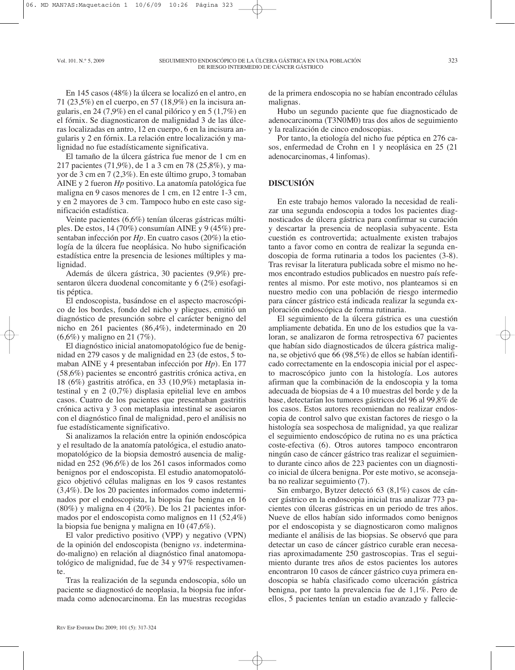En 145 casos (48%) la úlcera se localizó en el antro, en 71 (23,5%) en el cuerpo, en 57 (18,9%) en la incisura angularis, en 24 (7,9%) en el canal pilórico y en 5 (1,7%) en el fórnix. Se diagnosticaron de malignidad 3 de las úlceras localizadas en antro, 12 en cuerpo, 6 en la incisura angularis y 2 en fórnix. La relación entre localización y malignidad no fue estadísticamente significativa.

El tamaño de la úlcera gástrica fue menor de 1 cm en 217 pacientes (71,9%), de 1 a 3 cm en 78 (25,8%), y mayor de 3 cm en 7 (2,3%). En este último grupo, 3 tomaban AINE y 2 fueron *Hp* positivo. La anatomía patológica fue maligna en 9 casos menores de 1 cm, en 12 entre 1-3 cm, y en 2 mayores de 3 cm. Tampoco hubo en este caso significación estadística.

Veinte pacientes (6,6%) tenían úlceras gástricas múltiples. De estos, 14 (70%) consumían AINE y 9 (45%) presentaban infección por *Hp*. En cuatro casos (20%) la etiología de la úlcera fue neoplásica. No hubo significación estadística entre la presencia de lesiones múltiples y malignidad.

Además de úlcera gástrica, 30 pacientes (9,9%) presentaron úlcera duodenal concomitante y 6 (2%) esofagitis péptica.

El endoscopista, basándose en el aspecto macroscópico de los bordes, fondo del nicho y pliegues, emitió un diagnóstico de presunción sobre el carácter benigno del nicho en 261 pacientes (86,4%), indeterminado en 20 (6,6%) y maligno en 21 (7%).

El diagnóstico inicial anatomopatológico fue de benignidad en 279 casos y de malignidad en 23 (de estos, 5 tomaban AINE y 4 presentaban infección por *Hp*). En 177 (58,6%) pacientes se encontró gastritis crónica activa, en 18 (6%) gastritis atrófica, en 33 (10,9%) metaplasia intestinal y en 2 (0,7%) displasia epitelial leve en ambos casos. Cuatro de los pacientes que presentaban gastritis crónica activa y 3 con metaplasia intestinal se asociaron con el diagnóstico final de malignidad, pero el análisis no fue estadísticamente significativo.

Si analizamos la relación entre la opinión endoscópica y el resultado de la anatomía patológica, el estudio anatomopatológico de la biopsia demostró ausencia de malignidad en 252 (96,6%) de los 261 casos informados como benignos por el endoscopista. El estudio anatomopatológico objetivó células malignas en los 9 casos restantes (3,4%). De los 20 pacientes informados como indeterminados por el endoscopista, la biopsia fue benigna en 16 (80%) y maligna en 4 (20%). De los 21 pacientes informados por el endoscopista como malignos en 11 (52,4%) la biopsia fue benigna y maligna en 10 (47,6%).

El valor predictivo positivo (VPP) y negativo (VPN) de la opinión del endoscopista (benigno *vs.* indeterminado-maligno) en relación al diagnóstico final anatomopatológico de malignidad, fue de 34 y 97% respectivamente.

Tras la realización de la segunda endoscopia, sólo un paciente se diagnosticó de neoplasia, la biopsia fue informada como adenocarcinoma. En las muestras recogidas de la primera endoscopia no se habían encontrado células malignas.

Hubo un segundo paciente que fue diagnosticado de adenocarcinoma (T3N0M0) tras dos años de seguimiento y la realización de cinco endoscopias.

Por tanto, la etiología del nicho fue péptica en 276 casos, enfermedad de Crohn en 1 y neoplásica en 25 (21 adenocarcinomas, 4 linfomas).

## **DISCUSIÓN**

En este trabajo hemos valorado la necesidad de realizar una segunda endoscopia a todos los pacientes diagnosticados de úlcera gástrica para confirmar su curación y descartar la presencia de neoplasia subyacente. Esta cuestión es controvertida; actualmente existen trabajos tanto a favor como en contra de realizar la segunda endoscopia de forma rutinaria a todos los pacientes (3-8). Tras revisar la literatura publicada sobre el mismo no hemos encontrado estudios publicados en nuestro país referentes al mismo. Por este motivo, nos planteamos si en nuestro medio con una población de riesgo intermedio para cáncer gástrico está indicada realizar la segunda exploración endoscópica de forma rutinaria.

El seguimiento de la úlcera gástrica es una cuestión ampliamente debatida. En uno de los estudios que la valoran, se analizaron de forma retrospectiva 67 pacientes que habían sido diagnosticados de úlcera gástrica maligna, se objetivó que 66 (98,5%) de ellos se habían identificado correctamente en la endoscopia inicial por el aspecto macroscópico junto con la histología. Los autores afirman que la combinación de la endoscopia y la toma adecuada de biopsias de 4 a 10 muestras del borde y de la base, detectarían los tumores gástricos del 96 al 99,8% de los casos. Estos autores recomiendan no realizar endoscopia de control salvo que existan factores de riesgo o la histología sea sospechosa de malignidad, ya que realizar el seguimiento endoscópico de rutina no es una práctica coste-efectiva (6). Otros autores tampoco encontraron ningún caso de cáncer gástrico tras realizar el seguimiento durante cinco años de 223 pacientes con un diagnostico inicial de úlcera benigna. Por este motivo, se aconsejaba no realizar seguimiento (7).

Sin embargo, Bytzer detectó 63 (8,1%) casos de cáncer gástrico en la endoscopia inicial tras analizar 773 pacientes con úlceras gástricas en un periodo de tres años. Nueve de ellos habían sido informados como benignos por el endoscopista y se diagnosticaron como malignos mediante el análisis de las biopsias. Se observó que para detectar un caso de cáncer gástrico curable eran necesarias aproximadamente 250 gastroscopias. Tras el seguimiento durante tres años de estos pacientes los autores encontraron 10 casos de cáncer gástrico cuya primera endoscopia se había clasificado como ulceración gástrica benigna, por tanto la prevalencia fue de 1,1%. Pero de ellos, 5 pacientes tenían un estadio avanzado y fallecie